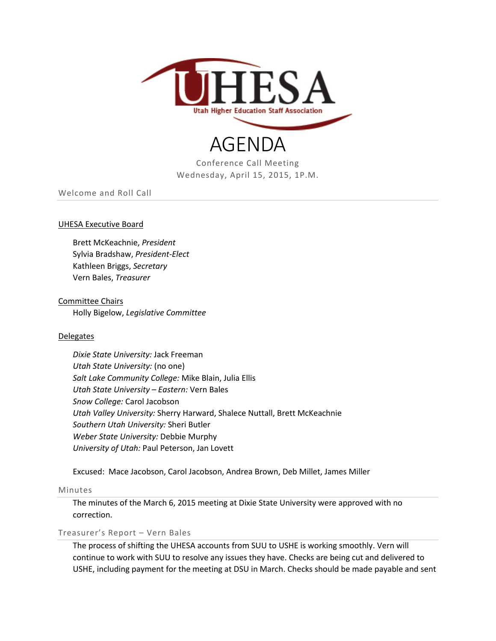

# AGENDA

Conference Call Meeting Wednesday, April 15, 2015, 1P.M.

Welcome and Roll Call

### UHESA Executive Board

Brett McKeachnie, *President* Sylvia Bradshaw, *President-Elect* Kathleen Briggs, *Secretary* Vern Bales, *Treasurer*

## Committee Chairs Holly Bigelow, *Legislative Committee*

#### Delegates

*Dixie State University:* Jack Freeman *Utah State University:* (no one) *Salt Lake Community College:* Mike Blain, Julia Ellis *Utah State University – Eastern:* Vern Bales *Snow College:* Carol Jacobson *Utah Valley University:* Sherry Harward, Shalece Nuttall, Brett McKeachnie *Southern Utah University:* Sheri Butler *Weber State University:* Debbie Murphy *University of Utah:* Paul Peterson, Jan Lovett

Excused: Mace Jacobson, Carol Jacobson, Andrea Brown, Deb Millet, James Miller

#### Minutes

The minutes of the March 6, 2015 meeting at Dixie State University were approved with no correction.

## Treasurer's Report – Vern Bales

The process of shifting the UHESA accounts from SUU to USHE is working smoothly. Vern will continue to work with SUU to resolve any issues they have. Checks are being cut and delivered to USHE, including payment for the meeting at DSU in March. Checks should be made payable and sent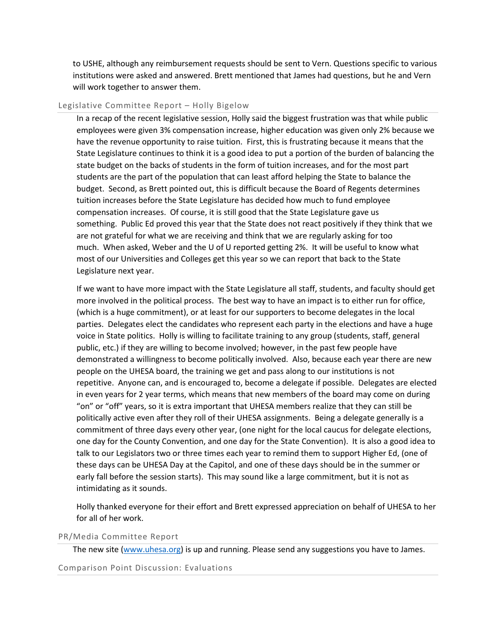to USHE, although any reimbursement requests should be sent to Vern. Questions specific to various institutions were asked and answered. Brett mentioned that James had questions, but he and Vern will work together to answer them.

#### Legislative Committee Report – Holly Bigelow

In a recap of the recent legislative session, Holly said the biggest frustration was that while public employees were given 3% compensation increase, higher education was given only 2% because we have the revenue opportunity to raise tuition. First, this is frustrating because it means that the State Legislature continues to think it is a good idea to put a portion of the burden of balancing the state budget on the backs of students in the form of tuition increases, and for the most part students are the part of the population that can least afford helping the State to balance the budget. Second, as Brett pointed out, this is difficult because the Board of Regents determines tuition increases before the State Legislature has decided how much to fund employee compensation increases. Of course, it is still good that the State Legislature gave us something. Public Ed proved this year that the State does not react positively if they think that we are not grateful for what we are receiving and think that we are regularly asking for too much. When asked, Weber and the U of U reported getting 2%. It will be useful to know what most of our Universities and Colleges get this year so we can report that back to the State Legislature next year.

If we want to have more impact with the State Legislature all staff, students, and faculty should get more involved in the political process. The best way to have an impact is to either run for office, (which is a huge commitment), or at least for our supporters to become delegates in the local parties. Delegates elect the candidates who represent each party in the elections and have a huge voice in State politics. Holly is willing to facilitate training to any group (students, staff, general public, etc.) if they are willing to become involved; however, in the past few people have demonstrated a willingness to become politically involved. Also, because each year there are new people on the UHESA board, the training we get and pass along to our institutions is not repetitive. Anyone can, and is encouraged to, become a delegate if possible. Delegates are elected in even years for 2 year terms, which means that new members of the board may come on during "on" or "off" years, so it is extra important that UHESA members realize that they can still be politically active even after they roll of their UHESA assignments. Being a delegate generally is a commitment of three days every other year, (one night for the local caucus for delegate elections, one day for the County Convention, and one day for the State Convention). It is also a good idea to talk to our Legislators two or three times each year to remind them to support Higher Ed, (one of these days can be UHESA Day at the Capitol, and one of these days should be in the summer or early fall before the session starts). This may sound like a large commitment, but it is not as intimidating as it sounds.

Holly thanked everyone for their effort and Brett expressed appreciation on behalf of UHESA to her for all of her work.

#### PR/Media Committee Report

The new site [\(www.uhesa.org\)](http://www.uhesa.org/) is up and running. Please send any suggestions you have to James.

Comparison Point Discussion: Evaluations